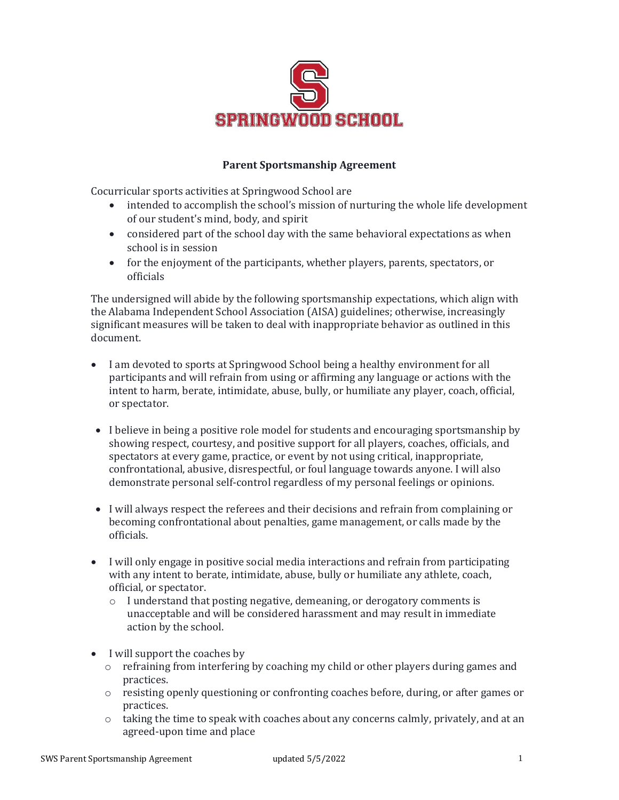

## **Parent Sportsmanship Agreement**

Cocurricular sports activities at Springwood School are

- intended to accomplish the school's mission of nurturing the whole life development of our student's mind, body, and spirit
- considered part of the school day with the same behavioral expectations as when school is in session
- for the enjoyment of the participants, whether players, parents, spectators, or officials

The undersigned will abide by the following sportsmanship expectations, which align with the Alabama Independent School Association (AISA) guidelines; otherwise, increasingly significant measures will be taken to deal with inappropriate behavior as outlined in this document.

- I am devoted to sports at Springwood School being a healthy environment for all participants and will refrain from using or affirming any language or actions with the intent to harm, berate, intimidate, abuse, bully, or humiliate any player, coach, official, or spectator.
- I believe in being a positive role model for students and encouraging sportsmanship by showing respect, courtesy, and positive support for all players, coaches, officials, and spectators at every game, practice, or event by not using critical, inappropriate, confrontational, abusive, disrespectful, or foul language towards anyone. I will also demonstrate personal self-control regardless of my personal feelings or opinions.
- I will always respect the referees and their decisions and refrain from complaining or becoming confrontational about penalties, game management, or calls made by the officials.
- I will only engage in positive social media interactions and refrain from participating with any intent to berate, intimidate, abuse, bully or humiliate any athlete, coach, official, or spectator.
	- o I understand that posting negative, demeaning, or derogatory comments is unacceptable and will be considered harassment and may result in immediate action by the school.
- I will support the coaches by
	- o refraining from interfering by coaching my child or other players during games and practices.
	- o resisting openly questioning or confronting coaches before, during, or after games or practices.
	- $\circ$  taking the time to speak with coaches about any concerns calmly, privately, and at an agreed-upon time and place